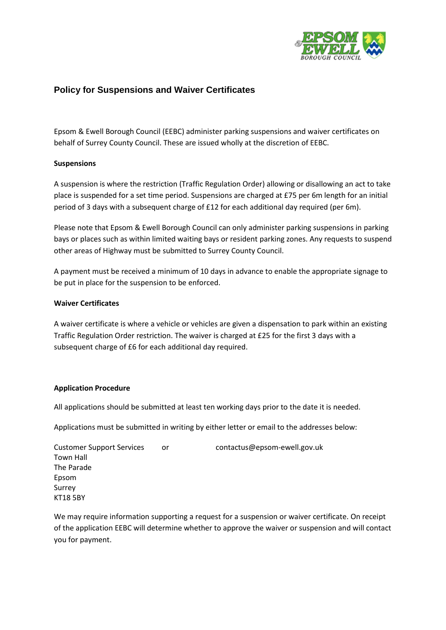

# **Policy for Suspensions and Waiver Certificates**

Epsom & Ewell Borough Council (EEBC) administer parking suspensions and waiver certificates on behalf of Surrey County Council. These are issued wholly at the discretion of EEBC.

## **Suspensions**

A suspension is where the restriction (Traffic Regulation Order) allowing or disallowing an act to take place is suspended for a set time period. Suspensions are charged at £75 per 6m length for an initial period of 3 days with a subsequent charge of £12 for each additional day required (per 6m).

Please note that Epsom & Ewell Borough Council can only administer parking suspensions in parking bays or places such as within limited waiting bays or resident parking zones. Any requests to suspend other areas of Highway must be submitted to Surrey County Council.

A payment must be received a minimum of 10 days in advance to enable the appropriate signage to be put in place for the suspension to be enforced.

#### **Waiver Certificates**

A waiver certificate is where a vehicle or vehicles are given a dispensation to park within an existing Traffic Regulation Order restriction. The waiver is charged at £25 for the first 3 days with a subsequent charge of £6 for each additional day required.

#### **Application Procedure**

All applications should be submitted at least ten working days prior to the date it is needed.

Applications must be submitted in writing by either letter or email to the addresses below:

Customer Support Services or contactus@epsom-ewell.gov.uk Town Hall The Parade Epsom Surrey KT18 5BY

We may require information supporting a request for a suspension or waiver certificate. On receipt of the application EEBC will determine whether to approve the waiver or suspension and will contact you for payment.